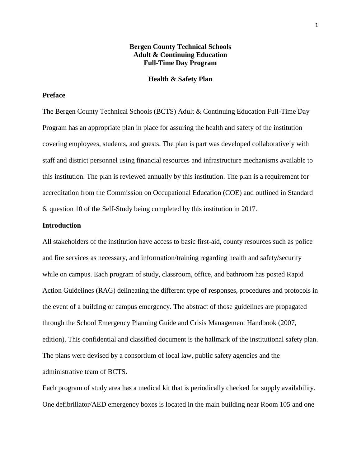## **Bergen County Technical Schools Adult & Continuing Education Full-Time Day Program**

#### **Health & Safety Plan**

## **Preface**

The Bergen County Technical Schools (BCTS) Adult & Continuing Education Full-Time Day Program has an appropriate plan in place for assuring the health and safety of the institution covering employees, students, and guests. The plan is part was developed collaboratively with staff and district personnel using financial resources and infrastructure mechanisms available to this institution. The plan is reviewed annually by this institution. The plan is a requirement for accreditation from the Commission on Occupational Education (COE) and outlined in Standard 6, question 10 of the Self-Study being completed by this institution in 2017.

## **Introduction**

All stakeholders of the institution have access to basic first-aid, county resources such as police and fire services as necessary, and information/training regarding health and safety/security while on campus. Each program of study, classroom, office, and bathroom has posted Rapid Action Guidelines (RAG) delineating the different type of responses, procedures and protocols in the event of a building or campus emergency. The abstract of those guidelines are propagated through the School Emergency Planning Guide and Crisis Management Handbook (2007, edition). This confidential and classified document is the hallmark of the institutional safety plan. The plans were devised by a consortium of local law, public safety agencies and the administrative team of BCTS.

Each program of study area has a medical kit that is periodically checked for supply availability. One defibrillator/AED emergency boxes is located in the main building near Room 105 and one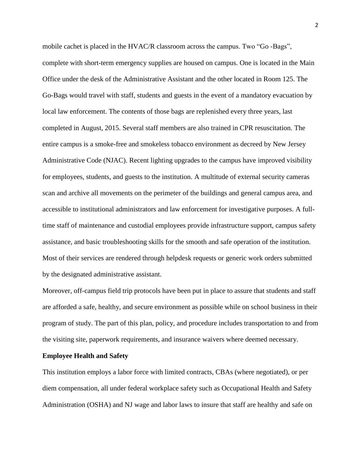mobile cachet is placed in the HVAC/R classroom across the campus. Two "Go -Bags", complete with short-term emergency supplies are housed on campus. One is located in the Main Office under the desk of the Administrative Assistant and the other located in Room 125. The Go-Bags would travel with staff, students and guests in the event of a mandatory evacuation by local law enforcement. The contents of those bags are replenished every three years, last completed in August, 2015. Several staff members are also trained in CPR resuscitation. The entire campus is a smoke-free and smokeless tobacco environment as decreed by New Jersey Administrative Code (NJAC). Recent lighting upgrades to the campus have improved visibility for employees, students, and guests to the institution. A multitude of external security cameras scan and archive all movements on the perimeter of the buildings and general campus area, and accessible to institutional administrators and law enforcement for investigative purposes. A fulltime staff of maintenance and custodial employees provide infrastructure support, campus safety assistance, and basic troubleshooting skills for the smooth and safe operation of the institution. Most of their services are rendered through helpdesk requests or generic work orders submitted by the designated administrative assistant.

Moreover, off-campus field trip protocols have been put in place to assure that students and staff are afforded a safe, healthy, and secure environment as possible while on school business in their program of study. The part of this plan, policy, and procedure includes transportation to and from the visiting site, paperwork requirements, and insurance waivers where deemed necessary.

## **Employee Health and Safety**

This institution employs a labor force with limited contracts, CBAs (where negotiated), or per diem compensation, all under federal workplace safety such as Occupational Health and Safety Administration (OSHA) and NJ wage and labor laws to insure that staff are healthy and safe on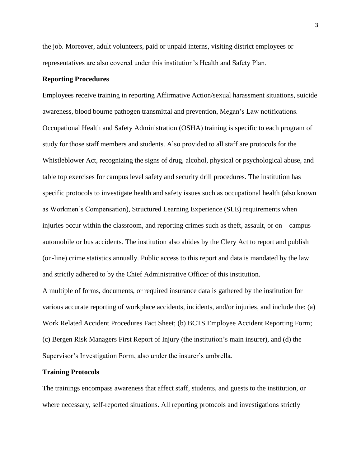the job. Moreover, adult volunteers, paid or unpaid interns, visiting district employees or representatives are also covered under this institution's Health and Safety Plan.

## **Reporting Procedures**

Employees receive training in reporting Affirmative Action/sexual harassment situations, suicide awareness, blood bourne pathogen transmittal and prevention, Megan's Law notifications. Occupational Health and Safety Administration (OSHA) training is specific to each program of study for those staff members and students. Also provided to all staff are protocols for the Whistleblower Act, recognizing the signs of drug, alcohol, physical or psychological abuse, and table top exercises for campus level safety and security drill procedures. The institution has specific protocols to investigate health and safety issues such as occupational health (also known as Workmen's Compensation), Structured Learning Experience (SLE) requirements when injuries occur within the classroom, and reporting crimes such as theft, assault, or on – campus automobile or bus accidents. The institution also abides by the Clery Act to report and publish (on-line) crime statistics annually. Public access to this report and data is mandated by the law and strictly adhered to by the Chief Administrative Officer of this institution.

A multiple of forms, documents, or required insurance data is gathered by the institution for various accurate reporting of workplace accidents, incidents, and/or injuries, and include the: (a) Work Related Accident Procedures Fact Sheet; (b) BCTS Employee Accident Reporting Form; (c) Bergen Risk Managers First Report of Injury (the institution's main insurer), and (d) the Supervisor's Investigation Form, also under the insurer's umbrella.

## **Training Protocols**

The trainings encompass awareness that affect staff, students, and guests to the institution, or where necessary, self-reported situations. All reporting protocols and investigations strictly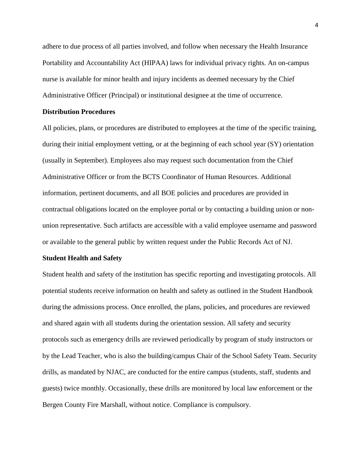adhere to due process of all parties involved, and follow when necessary the Health Insurance Portability and Accountability Act (HIPAA) laws for individual privacy rights. An on-campus nurse is available for minor health and injury incidents as deemed necessary by the Chief Administrative Officer (Principal) or institutional designee at the time of occurrence.

## **Distribution Procedures**

All policies, plans, or procedures are distributed to employees at the time of the specific training, during their initial employment vetting, or at the beginning of each school year (SY) orientation (usually in September). Employees also may request such documentation from the Chief Administrative Officer or from the BCTS Coordinator of Human Resources. Additional information, pertinent documents, and all BOE policies and procedures are provided in contractual obligations located on the employee portal or by contacting a building union or nonunion representative. Such artifacts are accessible with a valid employee username and password or available to the general public by written request under the Public Records Act of NJ.

#### **Student Health and Safety**

Student health and safety of the institution has specific reporting and investigating protocols. All potential students receive information on health and safety as outlined in the Student Handbook during the admissions process. Once enrolled, the plans, policies, and procedures are reviewed and shared again with all students during the orientation session. All safety and security protocols such as emergency drills are reviewed periodically by program of study instructors or by the Lead Teacher, who is also the building/campus Chair of the School Safety Team. Security drills, as mandated by NJAC, are conducted for the entire campus (students, staff, students and guests) twice monthly. Occasionally, these drills are monitored by local law enforcement or the Bergen County Fire Marshall, without notice. Compliance is compulsory.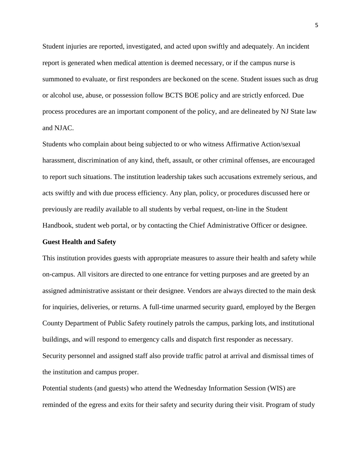Student injuries are reported, investigated, and acted upon swiftly and adequately. An incident report is generated when medical attention is deemed necessary, or if the campus nurse is summoned to evaluate, or first responders are beckoned on the scene. Student issues such as drug or alcohol use, abuse, or possession follow BCTS BOE policy and are strictly enforced. Due process procedures are an important component of the policy, and are delineated by NJ State law and NJAC.

Students who complain about being subjected to or who witness Affirmative Action/sexual harassment, discrimination of any kind, theft, assault, or other criminal offenses, are encouraged to report such situations. The institution leadership takes such accusations extremely serious, and acts swiftly and with due process efficiency. Any plan, policy, or procedures discussed here or previously are readily available to all students by verbal request, on-line in the Student Handbook, student web portal, or by contacting the Chief Administrative Officer or designee.

#### **Guest Health and Safety**

This institution provides guests with appropriate measures to assure their health and safety while on-campus. All visitors are directed to one entrance for vetting purposes and are greeted by an assigned administrative assistant or their designee. Vendors are always directed to the main desk for inquiries, deliveries, or returns. A full-time unarmed security guard, employed by the Bergen County Department of Public Safety routinely patrols the campus, parking lots, and institutional buildings, and will respond to emergency calls and dispatch first responder as necessary. Security personnel and assigned staff also provide traffic patrol at arrival and dismissal times of the institution and campus proper.

Potential students (and guests) who attend the Wednesday Information Session (WIS) are reminded of the egress and exits for their safety and security during their visit. Program of study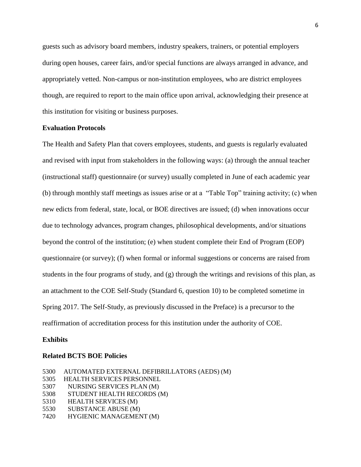guests such as advisory board members, industry speakers, trainers, or potential employers during open houses, career fairs, and/or special functions are always arranged in advance, and appropriately vetted. Non-campus or non-institution employees, who are district employees though, are required to report to the main office upon arrival, acknowledging their presence at this institution for visiting or business purposes.

## **Evaluation Protocols**

The Health and Safety Plan that covers employees, students, and guests is regularly evaluated and revised with input from stakeholders in the following ways: (a) through the annual teacher (instructional staff) questionnaire (or survey) usually completed in June of each academic year (b) through monthly staff meetings as issues arise or at a "Table Top" training activity; (c) when new edicts from federal, state, local, or BOE directives are issued; (d) when innovations occur due to technology advances, program changes, philosophical developments, and/or situations beyond the control of the institution; (e) when student complete their End of Program (EOP) questionnaire (or survey); (f) when formal or informal suggestions or concerns are raised from students in the four programs of study, and (g) through the writings and revisions of this plan, as an attachment to the COE Self-Study (Standard 6, question 10) to be completed sometime in Spring 2017. The Self-Study, as previously discussed in the Preface) is a precursor to the reaffirmation of accreditation process for this institution under the authority of COE.

#### **Exhibits**

## **Related BCTS BOE Policies**

| 5300 | AUTOMATED EXTERNAL DEFIBRILLATORS (AEDS) (M) |
|------|----------------------------------------------|
| 5305 | <b>HEALTH SERVICES PERSONNEL</b>             |
| 5307 | NURSING SERVICES PLAN (M)                    |
| 5308 | STUDENT HEALTH RECORDS (M)                   |
| 5310 | <b>HEALTH SERVICES (M)</b>                   |
| 5530 | SUBSTANCE ABUSE (M)                          |
| 7420 | HYGIENIC MANAGEMENT (M)                      |